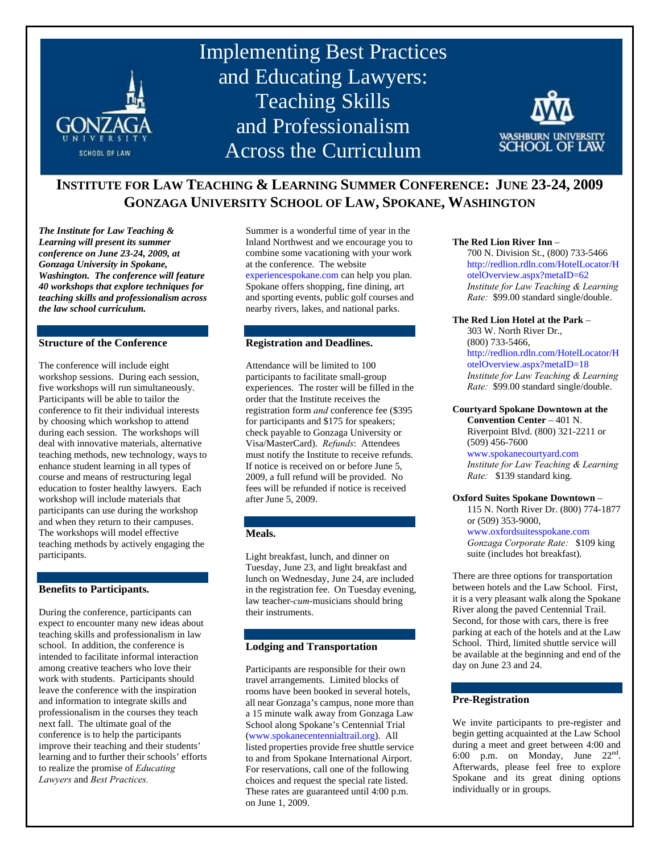

# **INSTITUTE FOR LAW TEACHING & LEARNING SUMMER CONFERENCE: JUNE 23-24, 2009 GONZAGA UNIVERSITY SCHOOL OF LAW, SPOKANE, WASHINGTON**

*The Institute for Law Teaching & Learning will present its summer conference on June 23-24, 2009, at Gonzaga University in Spokane, Washington. The conference will feature 40 workshops that explore techniques for teaching skills and professionalism across the law school curriculum.* 

# **Structure of the Conference**

The conference will include eight workshop sessions. During each session, five workshops will run simultaneously. Participants will be able to tailor the conference to fit their individual interests by choosing which workshop to attend during each session. The workshops will deal with innovative materials, alternative teaching methods, new technology, ways to enhance student learning in all types of course and means of restructuring legal education to foster healthy lawyers. Each workshop will include materials that participants can use during the workshop and when they return to their campuses. The workshops will model effective teaching methods by actively engaging the participants.

#### **Benefits to Participants.**

During the conference, participants can expect to encounter many new ideas about teaching skills and professionalism in law school. In addition, the conference is intended to facilitate informal interaction among creative teachers who love their work with students. Participants should leave the conference with the inspiration and information to integrate skills and professionalism in the courses they teach next fall. The ultimate goal of the conference is to help the participants improve their teaching and their students' learning and to further their schools' efforts to realize the promise of *Educating Lawyers* and *Best Practices.* 

Summer is a wonderful time of year in the Inland Northwest and we encourage you to combine some vacationing with your work at the conference. The website experiencespokane.com can help you plan. Spokane offers shopping, fine dining, art and sporting events, public golf courses and nearby rivers, lakes, and national parks.

### **Registration and Deadlines.**

Attendance will be limited to 100 participants to facilitate small-group experiences. The roster will be filled in the order that the Institute receives the registration form *and* conference fee (\$395 for participants and \$175 for speakers; check payable to Gonzaga University or Visa/MasterCard). *Refunds*: Attendees must notify the Institute to receive refunds. If notice is received on or before June 5, 2009, a full refund will be provided. No fees will be refunded if notice is received after June 5, 2009.

# **Meals.**

Light breakfast, lunch, and dinner on Tuesday, June 23, and light breakfast and lunch on Wednesday, June 24, are included in the registration fee. On Tuesday evening, law teacher-*cum*-musicians should bring their instruments.

# **Lodging and Transportation**

Participants are responsible for their own travel arrangements. Limited blocks of rooms have been booked in several hotels, all near Gonzaga's campus, none more than a 15 minute walk away from Gonzaga Law School along Spokane's Centennial Trial (www.spokanecentennialtrail.org). All listed properties provide free shuttle service to and from Spokane International Airport. For reservations, call one of the following choices and request the special rate listed. These rates are guaranteed until 4:00 p.m. on June 1, 2009.

#### **The Red Lion River Inn** –

700 N. Division St., (800) 733-5466 http://redlion.rdln.com/HotelLocator/H otelOverview.aspx?metaID=62 *Institute for Law Teaching & Learning Rate:* \$99.00 standard single/double.

#### **The Red Lion Hotel at the Park** –

303 W. North River Dr., (800) 733-5466, http://redlion.rdln.com/HotelLocator/H otelOverview.aspx?metaID=18 *Institute for Law Teaching & Learning Rate:* \$99.00 standard single/double.

#### **Courtyard Spokane Downtown at the Convention Center** – 401 N.

Riverpoint Blvd. (800) 321-2211 or (509) 456-7600

www.spokanecourtyard.com *Institute for Law Teaching & Learning Rate:* \$139 standard king.

#### **Oxford Suites Spokane Downtown** –

115 N. North River Dr. (800) 774-1877 or (509) 353-9000,

# www.oxfordsuitesspokane.com

*Gonzaga Corporate Rate:* \$109 king suite (includes hot breakfast).

There are three options for transportation between hotels and the Law School. First, it is a very pleasant walk along the Spokane River along the paved Centennial Trail. Second, for those with cars, there is free parking at each of the hotels and at the Law School. Third, limited shuttle service will be available at the beginning and end of the day on June 23 and 24.

# **Pre-Registration**

We invite participants to pre-register and begin getting acquainted at the Law School during a meet and greet between 4:00 and 6:00 p.m. on Monday, June 22nd. Afterwards, please feel free to explore Spokane and its great dining options individually or in groups.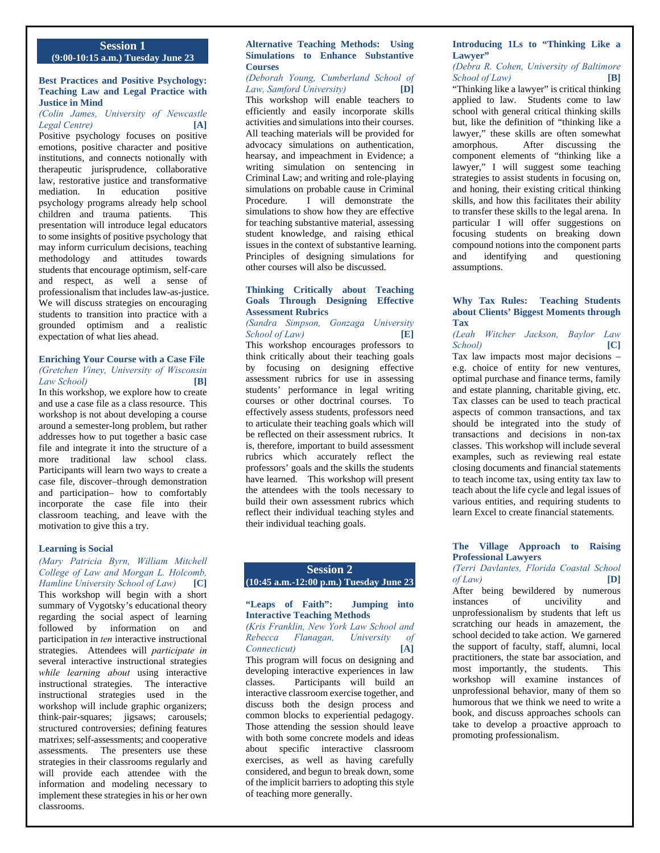# **Session 1 (9:00-10:15 a.m.) Tuesday June 23**

#### **Best Practices and Positive Psychology: Teaching Law and Legal Practice with Justice in Mind**

# *(Colin James, University of Newcastle Legal Centre)* **[A]**

Positive psychology focuses on positive emotions, positive character and positive institutions, and connects notionally with therapeutic jurisprudence, collaborative law, restorative justice and transformative mediation. In education positive psychology programs already help school children and trauma patients. This presentation will introduce legal educators to some insights of positive psychology that may inform curriculum decisions, teaching methodology and attitudes towards students that encourage optimism, self-care and respect, as well a sense of professionalism that includes law-as-justice. We will discuss strategies on encouraging students to transition into practice with a grounded optimism and a realistic expectation of what lies ahead.

#### **Enriching Your Course with a Case File**  *(Gretchen Viney, University of Wisconsin Law School)* **[B]**

In this workshop, we explore how to create and use a case file as a class resource. This workshop is not about developing a course around a semester-long problem, but rather addresses how to put together a basic case file and integrate it into the structure of a more traditional law school class. Participants will learn two ways to create a case file, discover–through demonstration and participation– how to comfortably incorporate the case file into their classroom teaching, and leave with the motivation to give this a try.

#### **Learning is Social**

*(Mary Patricia Byrn, William Mitchell College of Law and Morgan L. Holcomb, Hamline University School of Law)* **[C]** This workshop will begin with a short summary of Vygotsky's educational theory regarding the social aspect of learning followed by information on and participation in *ten* interactive instructional strategies. Attendees will *participate in* several interactive instructional strategies *while learning about* using interactive instructional strategies. The interactive instructional strategies used in the workshop will include graphic organizers; think-pair-squares; jigsaws; carousels; structured controversies; defining features matrixes; self-assessments; and cooperative assessments. The presenters use these strategies in their classrooms regularly and will provide each attendee with the information and modeling necessary to implement these strategies in his or her own classrooms.

# **Alternative Teaching Methods: Using Simulations to Enhance Substantive Courses**

# *(Deborah Young, Cumberland School of Law, Samford University)* **[D]**

This workshop will enable teachers to efficiently and easily incorporate skills activities and simulations into their courses. All teaching materials will be provided for advocacy simulations on authentication, hearsay, and impeachment in Evidence; a writing simulation on sentencing in Criminal Law; and writing and role-playing simulations on probable cause in Criminal<br>Procedure I will demonstrate the I will demonstrate the simulations to show how they are effective for teaching substantive material, assessing student knowledge, and raising ethical issues in the context of substantive learning. Principles of designing simulations for other courses will also be discussed.

#### **Thinking Critically about Teaching Goals Through Designing Effective Assessment Rubrics**

#### *(Sandra Simpson, Gonzaga University School of Law)* **[E]**

This workshop encourages professors to think critically about their teaching goals by focusing on designing effective assessment rubrics for use in assessing students' performance in legal writing courses or other doctrinal courses. To effectively assess students, professors need to articulate their teaching goals which will be reflected on their assessment rubrics. It is, therefore, important to build assessment rubrics which accurately reflect the professors' goals and the skills the students have learned. This workshop will present the attendees with the tools necessary to build their own assessment rubrics which reflect their individual teaching styles and their individual teaching goals.

# **Session 2 (10:45 a.m.-12:00 p.m.) Tuesday June 23**

# **"Leaps of Faith": Jumping into Interactive Teaching Methods**

#### *(Kris Franklin, New York Law School and Rebecca Flanagan, University of Connecticut)* **[A]**

This program will focus on designing and developing interactive experiences in law classes. Participants will build an interactive classroom exercise together, and discuss both the design process and common blocks to experiential pedagogy. Those attending the session should leave with both some concrete models and ideas about specific interactive classroom exercises, as well as having carefully considered, and begun to break down, some of the implicit barriers to adopting this style of teaching more generally.

# **Introducing 1Ls to "Thinking Like a Lawyer"**

# *(Debra R. Cohen, University of Baltimore School of Law)* **[B]**

"Thinking like a lawyer" is critical thinking applied to law. Students come to law school with general critical thinking skills but, like the definition of "thinking like a lawyer," these skills are often somewhat amorphous. After discussing the component elements of "thinking like a lawyer," I will suggest some teaching strategies to assist students in focusing on, and honing, their existing critical thinking skills, and how this facilitates their ability to transfer these skills to the legal arena. In particular I will offer suggestions on focusing students on breaking down compound notions into the component parts and identifying and questioning assumptions.

# **Why Tax Rules: Teaching Students about Clients' Biggest Moments through Tax**

#### *(Leah Witcher Jackson, Baylor Law School)* **[C]**

Tax law impacts most major decisions – e.g. choice of entity for new ventures, optimal purchase and finance terms, family and estate planning, charitable giving, etc. Tax classes can be used to teach practical aspects of common transactions, and tax should be integrated into the study of transactions and decisions in non-tax classes. This workshop will include several examples, such as reviewing real estate closing documents and financial statements to teach income tax, using entity tax law to teach about the life cycle and legal issues of various entities, and requiring students to learn Excel to create financial statements.

### **The Village Approach to Raising Professional Lawyers**

# *(Terri Davlantes, Florida Coastal School of Law)* **[D]**

After being bewildered by numerous instances of uncivility and unprofessionalism by students that left us scratching our heads in amazement, the school decided to take action. We garnered the support of faculty, staff, alumni, local practitioners, the state bar association, and most importantly, the students. This workshop will examine instances of unprofessional behavior, many of them so humorous that we think we need to write a book, and discuss approaches schools can take to develop a proactive approach to promoting professionalism.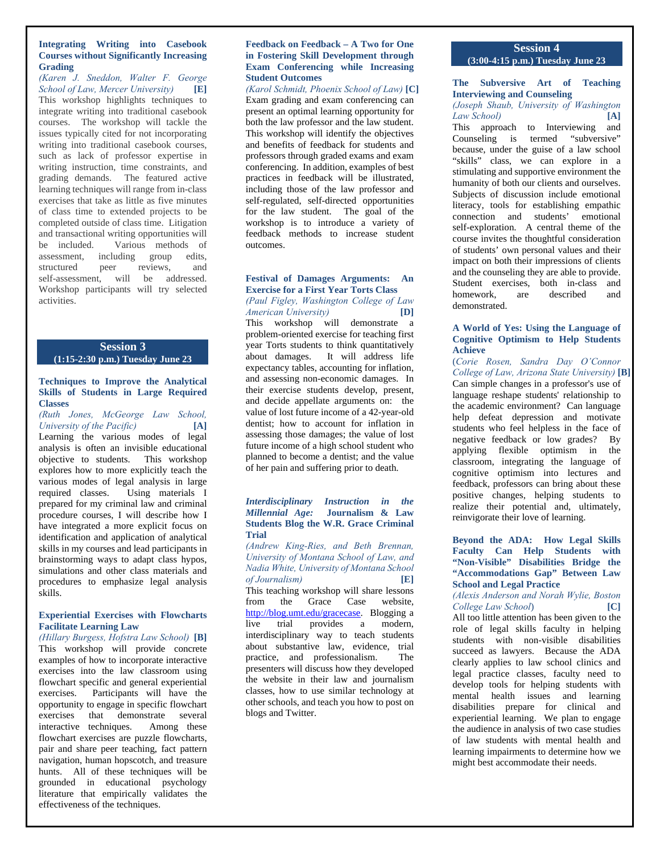# **Integrating Writing into Casebook Courses without Significantly Increasing Grading**

*(Karen J. Sneddon, Walter F. George School of Law, Mercer University)* **[E]** This workshop highlights techniques to integrate writing into traditional casebook courses. The workshop will tackle the issues typically cited for not incorporating writing into traditional casebook courses, such as lack of professor expertise in writing instruction, time constraints, and grading demands. The featured active learning techniques will range from in-class exercises that take as little as five minutes of class time to extended projects to be completed outside of class time. Litigation and transactional writing opportunities will be included. Various methods of assessment, including group edits,<br>structured peer reviews, and structured peer reviews, and self-assessment, will be addressed. Workshop participants will try selected activities.

# **Session 3**

# **(1:15-2:30 p.m.) Tuesday June 23**

# **Techniques to Improve the Analytical Skills of Students in Large Required Classes**

*(Ruth Jones, McGeorge Law School, University of the Pacific)* **[A]** Learning the various modes of legal analysis is often an invisible educational objective to students. This workshop explores how to more explicitly teach the various modes of legal analysis in large required classes. Using materials I prepared for my criminal law and criminal procedure courses, I will describe how I have integrated a more explicit focus on identification and application of analytical skills in my courses and lead participants in brainstorming ways to adapt class hypos, simulations and other class materials and procedures to emphasize legal analysis skills.

# **Experiential Exercises with Flowcharts Facilitate Learning Law**

*(Hillary Burgess, Hofstra Law School)* **[B]** This workshop will provide concrete examples of how to incorporate interactive exercises into the law classroom using flowchart specific and general experiential exercises. Participants will have the opportunity to engage in specific flowchart exercises that demonstrate several interactive techniques. Among these flowchart exercises are puzzle flowcharts, pair and share peer teaching, fact pattern navigation, human hopscotch, and treasure hunts. All of these techniques will be grounded in educational psychology literature that empirically validates the effectiveness of the techniques.

#### **Feedback on Feedback – A Two for One in Fostering Skill Development through Exam Conferencing while Increasing Student Outcomes**

*(Karol Schmidt, Phoenix School of Law)* **[C]** Exam grading and exam conferencing can present an optimal learning opportunity for both the law professor and the law student. This workshop will identify the objectives and benefits of feedback for students and professors through graded exams and exam conferencing. In addition, examples of best practices in feedback will be illustrated, including those of the law professor and self-regulated, self-directed opportunities for the law student. The goal of the workshop is to introduce a variety of feedback methods to increase student outcomes.

# **Festival of Damages Arguments: An Exercise for a First Year Torts Class**

# *(Paul Figley, Washington College of Law American University)* **[D]**

This workshop will demonstrate a problem-oriented exercise for teaching first year Torts students to think quantitatively about damages. It will address life expectancy tables, accounting for inflation, and assessing non-economic damages. In their exercise students develop, present, and decide appellate arguments on: the value of lost future income of a 42-year-old dentist; how to account for inflation in assessing those damages; the value of lost future income of a high school student who planned to become a dentist; and the value of her pain and suffering prior to death.

#### *Interdisciplinary Instruction in the Millennial Age:* **Journalism & Law Students Blog the W.R. Grace Criminal Trial**

*(Andrew King-Ries, and Beth Brennan, University of Montana School of Law, and Nadia White, University of Montana School of Journalism)* **[E]**

This teaching workshop will share lessons from the Grace Case website, http://blog.umt.edu/gracecase. Blogging a live trial provides a modern, interdisciplinary way to teach students about substantive law, evidence, trial practice, and professionalism. The presenters will discuss how they developed the website in their law and journalism classes, how to use similar technology at other schools, and teach you how to post on blogs and Twitter.

# **Session 4 (3:00-4:15 p.m.) Tuesday June 23**

#### **The Subversive Art of Teaching Interviewing and Counseling**

# *(Joseph Shaub, University of Washington Law School)* **[A]**

This approach to Interviewing and Counseling is termed "subversive" because, under the guise of a law school "skills" class, we can explore in a stimulating and supportive environment the humanity of both our clients and ourselves. Subjects of discussion include emotional literacy, tools for establishing empathic connection and students' emotional self-exploration. A central theme of the course invites the thoughtful consideration of students' own personal values and their impact on both their impressions of clients and the counseling they are able to provide. Student exercises, both in-class and homework, are described and demonstrated.

# **A World of Yes: Using the Language of Cognitive Optimism to Help Students Achieve**

(*Corie Rosen, Sandra Day O'Connor College of Law, Arizona State University)* **[B]**

Can simple changes in a professor's use of language reshape students' relationship to the academic environment? Can language help defeat depression and motivate students who feel helpless in the face of negative feedback or low grades? By applying flexible optimism in the classroom, integrating the language of cognitive optimism into lectures and feedback, professors can bring about these positive changes, helping students to realize their potential and, ultimately, reinvigorate their love of learning.

#### **Beyond the ADA: How Legal Skills Faculty Can Help Students with "Non-Visible" Disabilities Bridge the "Accommodations Gap" Between Law School and Legal Practice**

## *(Alexis Anderson and Norah Wylie, Boston College Law School*) **[C]**

All too little attention has been given to the role of legal skills faculty in helping students with non-visible disabilities succeed as lawyers. Because the ADA clearly applies to law school clinics and legal practice classes, faculty need to develop tools for helping students with mental health issues and learning disabilities prepare for clinical and experiential learning. We plan to engage the audience in analysis of two case studies of law students with mental health and learning impairments to determine how we might best accommodate their needs.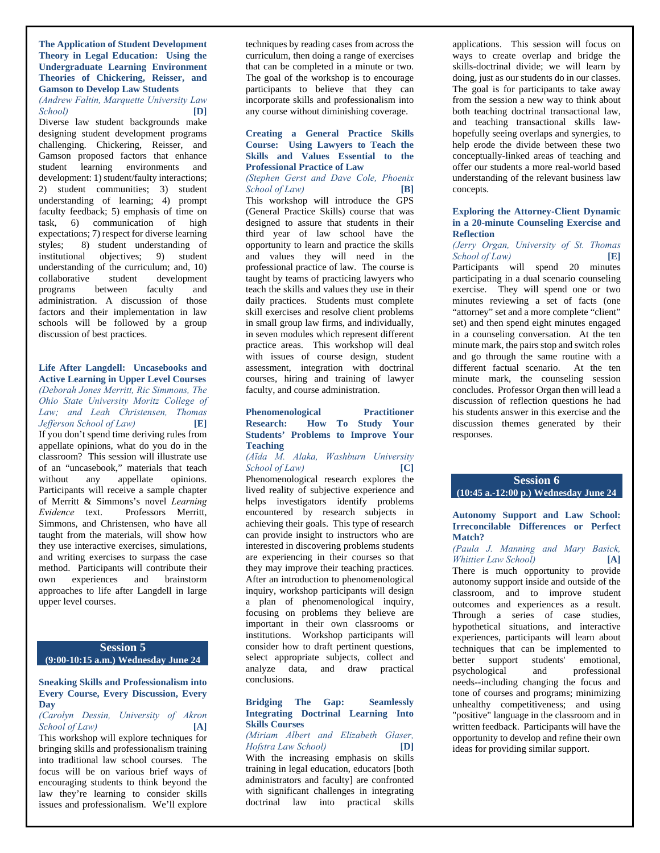#### **The Application of Student Development Theory in Legal Education: Using the Undergraduate Learning Environment Theories of Chickering, Reisser, and Gamson to Develop Law Students**

*(Andrew Faltin, Marquette University Law School)* **[D]**

Diverse law student backgrounds make designing student development programs challenging. Chickering, Reisser, and Gamson proposed factors that enhance student learning environments and development: 1) student/faulty interactions; 2) student communities; 3) student understanding of learning; 4) prompt faculty feedback; 5) emphasis of time on task, 6) communication of high expectations; 7) respect for diverse learning styles; 8) student understanding of institutional objectives; 9) student understanding of the curriculum; and, 10) collaborative student development programs between faculty and administration. A discussion of those factors and their implementation in law schools will be followed by a group discussion of best practices.

#### **Life After Langdell: Uncasebooks and Active Learning in Upper Level Courses**  *(Deborah Jones Merritt, Ric Simmons, The Ohio State University Moritz College of Law; and Leah Christensen, Thomas*   $Jefferson$  *School of Law*) If you don't spend time deriving rules from appellate opinions, what do you do in the classroom? This session will illustrate use of an "uncasebook," materials that teach<br>without any appellate opinions. without any appellate opinions. Participants will receive a sample chapter of Merritt & Simmons's novel *Learning Evidence* text. Professors Merritt, Simmons, and Christensen, who have all taught from the materials, will show how they use interactive exercises, simulations, and writing exercises to surpass the case method. Participants will contribute their own experiences and brainstorm approaches to life after Langdell in large upper level courses.

#### **Session 5 (9:00-10:15 a.m.) Wednesday June 24**

# **Sneaking Skills and Professionalism into Every Course, Every Discussion, Every Day**

*(Carolyn Dessin, University of Akron School of Law)* **[A]**

This workshop will explore techniques for bringing skills and professionalism training into traditional law school courses. The focus will be on various brief ways of encouraging students to think beyond the law they're learning to consider skills issues and professionalism. We'll explore

techniques by reading cases from across the curriculum, then doing a range of exercises that can be completed in a minute or two. The goal of the workshop is to encourage participants to believe that they can incorporate skills and professionalism into any course without diminishing coverage.

#### **Creating a General Practice Skills Course: Using Lawyers to Teach the Skills and Values Essential to the Professional Practice of Law**

# *(Stephen Gerst and Dave Cole, Phoenix School of Law)* **[B]**

This workshop will introduce the GPS (General Practice Skills) course that was designed to assure that students in their third year of law school have the opportunity to learn and practice the skills and values they will need in the professional practice of law. The course is taught by teams of practicing lawyers who teach the skills and values they use in their daily practices. Students must complete skill exercises and resolve client problems in small group law firms, and individually, in seven modules which represent different practice areas. This workshop will deal with issues of course design, student assessment, integration with doctrinal courses, hiring and training of lawyer faculty, and course administration.

# **Phenomenological Practitioner Research: How To Study Your Students' Problems to Improve Your Teaching**

# *(Aїda M. Alaka, Washburn University School of Law)* **[C]**

Phenomenological research explores the lived reality of subjective experience and helps investigators identify problems encountered by research subjects in achieving their goals. This type of research can provide insight to instructors who are interested in discovering problems students are experiencing in their courses so that they may improve their teaching practices. After an introduction to phenomenological inquiry, workshop participants will design a plan of phenomenological inquiry, focusing on problems they believe are important in their own classrooms or institutions. Workshop participants will consider how to draft pertinent questions, select appropriate subjects, collect and analyze data, and draw practical conclusions.

#### **Bridging The Gap: Seamlessly Integrating Doctrinal Learning Into Skills Courses**

#### *(Miriam Albert and Elizabeth Glaser, Hofstra Law School)* **[D]**

With the increasing emphasis on skills training in legal education, educators [both administrators and faculty] are confronted with significant challenges in integrating doctrinal law into practical skills

applications. This session will focus on ways to create overlap and bridge the skills-doctrinal divide; we will learn by doing, just as our students do in our classes. The goal is for participants to take away from the session a new way to think about both teaching doctrinal transactional law, and teaching transactional skills lawhopefully seeing overlaps and synergies, to help erode the divide between these two conceptually-linked areas of teaching and offer our students a more real-world based understanding of the relevant business law concepts.

#### **Exploring the Attorney-Client Dynamic in a 20-minute Counseling Exercise and Reflection**

# *(Jerry Organ, University of St. Thomas School of Law)* **[E]**

Participants will spend 20 minutes participating in a dual scenario counseling exercise. They will spend one or two minutes reviewing a set of facts (one "attorney" set and a more complete "client" set) and then spend eight minutes engaged in a counseling conversation. At the ten minute mark, the pairs stop and switch roles and go through the same routine with a different factual scenario. At the ten minute mark, the counseling session concludes. Professor Organ then will lead a discussion of reflection questions he had his students answer in this exercise and the discussion themes generated by their responses.

# **Session 6 (10:45 a.-12:00 p.) Wednesday June 24**

#### **Autonomy Support and Law School: Irreconcilable Differences or Perfect Match?**

### *(Paula J. Manning and Mary Basick, Whittier Law School)* **[A]**

There is much opportunity to provide autonomy support inside and outside of the classroom, and to improve student outcomes and experiences as a result. Through a series of case studies, hypothetical situations, and interactive experiences, participants will learn about techniques that can be implemented to better support students' emotional,<br>psychological and professional psychological and needs--including changing the focus and tone of courses and programs; minimizing unhealthy competitiveness; and using "positive" language in the classroom and in written feedback. Participants will have the opportunity to develop and refine their own ideas for providing similar support.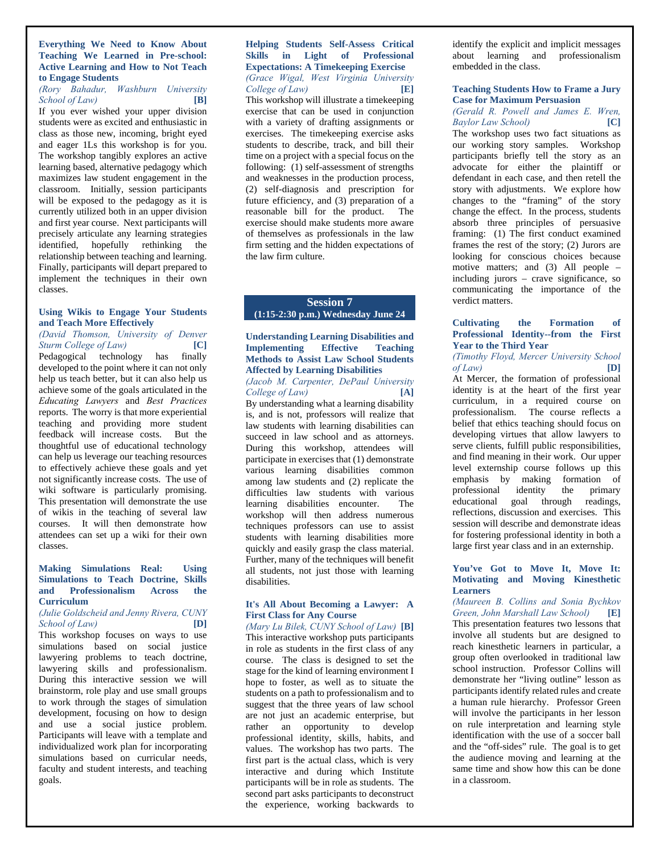#### **Everything We Need to Know About Teaching We Learned in Pre-school: Active Learning and How to Not Teach to Engage Students**

# *(Rory Bahadur, Washburn University School of Law)* **[B]**

If you ever wished your upper division students were as excited and enthusiastic in class as those new, incoming, bright eyed and eager 1Ls this workshop is for you. The workshop tangibly explores an active learning based, alternative pedagogy which maximizes law student engagement in the classroom. Initially, session participants will be exposed to the pedagogy as it is currently utilized both in an upper division and first year course. Next participants will precisely articulate any learning strategies identified, hopefully rethinking the relationship between teaching and learning. Finally, participants will depart prepared to implement the techniques in their own classes.

# **Using Wikis to Engage Your Students and Teach More Effectively**

*(David Thomson, University of Denver Sturm College of Law)* **[C]** Pedagogical technology has finally developed to the point where it can not only help us teach better, but it can also help us achieve some of the goals articulated in the *Educating Lawyers* and *Best Practices*  reports. The worry is that more experiential teaching and providing more student feedback will increase costs. But the thoughtful use of educational technology can help us leverage our teaching resources to effectively achieve these goals and yet not significantly increase costs. The use of wiki software is particularly promising. This presentation will demonstrate the use of wikis in the teaching of several law courses. It will then demonstrate how attendees can set up a wiki for their own classes.

#### **Making Simulations Real: Using Simulations to Teach Doctrine, Skills and Professionalism Across the Curriculum**

#### *(Julie Goldscheid and Jenny Rivera, CUNY School of Law)* **[D]**

This workshop focuses on ways to use simulations based on social justice lawyering problems to teach doctrine, lawyering skills and professionalism. During this interactive session we will brainstorm, role play and use small groups to work through the stages of simulation development, focusing on how to design and use a social justice problem. Participants will leave with a template and individualized work plan for incorporating simulations based on curricular needs, faculty and student interests, and teaching goals.

# **Helping Students Self-Assess Critical Skills in Light of Professional Expectations: A Timekeeping Exercise**  *(Grace Wigal, West Virginia University College of Law)* **[E]**

This workshop will illustrate a timekeeping exercise that can be used in conjunction with a variety of drafting assignments or exercises. The timekeeping exercise asks students to describe, track, and bill their time on a project with a special focus on the following: (1) self-assessment of strengths and weaknesses in the production process, (2) self-diagnosis and prescription for future efficiency, and (3) preparation of a<br>reasonable bill for the product. The reasonable bill for the product. exercise should make students more aware of themselves as professionals in the law firm setting and the hidden expectations of the law firm culture.

# **Session 7 (1:15-2:30 p.m.) Wednesday June 24**

#### **Understanding Learning Disabilities and Implementing Effective Teaching Methods to Assist Law School Students Affected by Learning Disabilities**  *(Jacob M. Carpenter, DePaul University*

*College of Law)* **[A]** By understanding what a learning disability is, and is not, professors will realize that law students with learning disabilities can succeed in law school and as attorneys. During this workshop, attendees will participate in exercises that (1) demonstrate various learning disabilities common among law students and (2) replicate the difficulties law students with various learning disabilities encounter. The workshop will then address numerous techniques professors can use to assist students with learning disabilities more quickly and easily grasp the class material. Further, many of the techniques will benefit all students, not just those with learning disabilities.

# **It's All About Becoming a Lawyer: A First Class for Any Course**

*(Mary Lu Bilek, CUNY School of Law)* **[B]** This interactive workshop puts participants in role as students in the first class of any course. The class is designed to set the stage for the kind of learning environment I hope to foster, as well as to situate the students on a path to professionalism and to suggest that the three years of law school are not just an academic enterprise, but rather an opportunity to develop professional identity, skills, habits, and values. The workshop has two parts. The first part is the actual class, which is very interactive and during which Institute participants will be in role as students. The second part asks participants to deconstruct the experience, working backwards to

identify the explicit and implicit messages about learning and professionalism embedded in the class.

# **Teaching Students How to Frame a Jury Case for Maximum Persuasion**

*(Gerald R. Powell and James E. Wren, Baylor Law School)* **[C]**

The workshop uses two fact situations as our working story samples. Workshop participants briefly tell the story as an advocate for either the plaintiff or defendant in each case, and then retell the story with adjustments. We explore how changes to the "framing" of the story change the effect. In the process, students absorb three principles of persuasive framing: (1) The first conduct examined frames the rest of the story; (2) Jurors are looking for conscious choices because motive matters; and (3) All people – including jurors – crave significance, so communicating the importance of the verdict matters.

# **Cultivating the Formation of Professional Identity--from the First Year to the Third Year**

# *(Timothy Floyd, Mercer University School of Law)* **[D]**

At Mercer, the formation of professional identity is at the heart of the first year curriculum, in a required course on professionalism. The course reflects a belief that ethics teaching should focus on developing virtues that allow lawyers to serve clients, fulfill public responsibilities, and find meaning in their work. Our upper level externship course follows up this emphasis by making formation of professional identity the primary educational goal through readings, reflections, discussion and exercises. This session will describe and demonstrate ideas for fostering professional identity in both a large first year class and in an externship.

#### **You've Got to Move It, Move It: Motivating and Moving Kinesthetic Learners**

*(Maureen B. Collins and Sonia Bychkov Green, John Marshall Law School)* **[E]** This presentation features two lessons that involve all students but are designed to reach kinesthetic learners in particular, a group often overlooked in traditional law school instruction. Professor Collins will demonstrate her "living outline" lesson as participants identify related rules and create a human rule hierarchy. Professor Green will involve the participants in her lesson on rule interpretation and learning style identification with the use of a soccer ball and the "off-sides" rule. The goal is to get the audience moving and learning at the same time and show how this can be done in a classroom.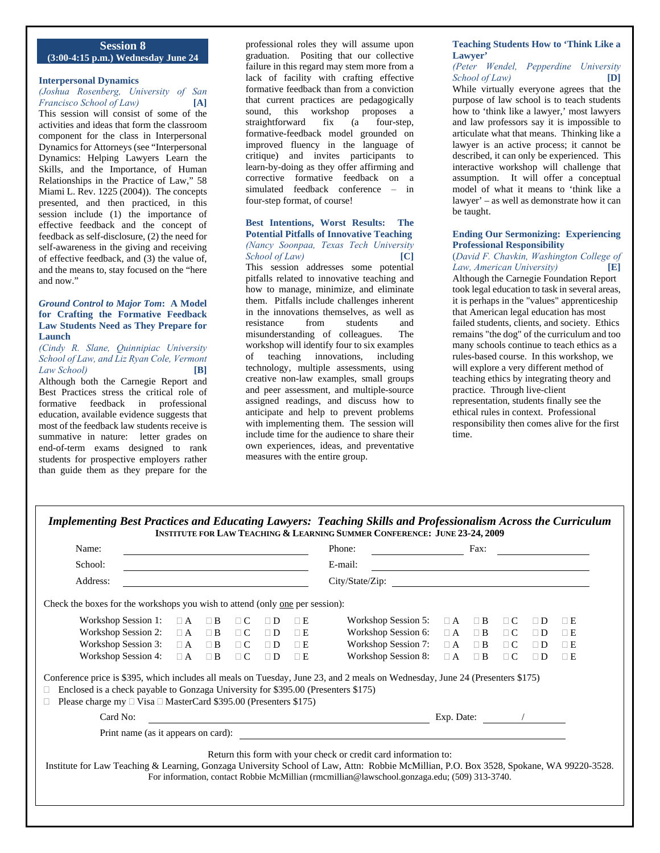# **Session 8 (3:00-4:15 p.m.) Wednesday June 24**

# **Interpersonal Dynamics**

*(Joshua Rosenberg, University of San Francisco School of Law)* **[A]**

This session will consist of some of the activities and ideas that form the classroom component for the class in Interpersonal Dynamics for Attorneys (see "Interpersonal Dynamics: Helping Lawyers Learn the Skills, and the Importance, of Human Relationships in the Practice of Law," 58 Miami L. Rev. 1225 (2004)). The concepts presented, and then practiced, in this session include (1) the importance of effective feedback and the concept of feedback as self-disclosure, (2) the need for self-awareness in the giving and receiving of effective feedback, and (3) the value of, and the means to, stay focused on the "here and now."

#### *Ground Control to Major Tom***: A Model for Crafting the Formative Feedback Law Students Need as They Prepare for Launch**

#### *(Cindy R. Slane, Quinnipiac University School of Law, and Liz Ryan Cole, Vermont Law School)* **[B]**

Although both the Carnegie Report and Best Practices stress the critical role of formative feedback in professional education, available evidence suggests that most of the feedback law students receive is summative in nature: letter grades on end-of-term exams designed to rank students for prospective employers rather than guide them as they prepare for the

professional roles they will assume upon graduation. Positing that our collective failure in this regard may stem more from a lack of facility with crafting effective formative feedback than from a conviction that current practices are pedagogically sound, this workshop proposes a straightforward fix (a four-step, formative-feedback model grounded on improved fluency in the language of critique) and invites participants to learn-by-doing as they offer affirming and corrective formative feedback on a simulated feedback conference *–* in four-step format, of course!

#### **Best Intentions, Worst Results: The Potential Pitfalls of Innovative Teaching**  *(Nancy Soonpaa, Texas Tech University*

*School of Law)* **[C]** This session addresses some potential pitfalls related to innovative teaching and how to manage, minimize, and eliminate them. Pitfalls include challenges inherent in the innovations themselves, as well as resistance from students and misunderstanding of colleagues. The workshop will identify four to six examples of teaching innovations, including technology, multiple assessments, using creative non-law examples, small groups and peer assessment, and multiple-source assigned readings, and discuss how to anticipate and help to prevent problems with implementing them. The session will include time for the audience to share their own experiences, ideas, and preventative measures with the entire group.

#### **Teaching Students How to 'Think Like a Lawyer'**

*(Peter Wendel, Pepperdine University School of Law)* **[D]**

While virtually everyone agrees that the purpose of law school is to teach students how to 'think like a lawyer,' most lawyers and law professors say it is impossible to articulate what that means. Thinking like a lawyer is an active process; it cannot be described, it can only be experienced. This interactive workshop will challenge that assumption. It will offer a conceptual model of what it means to 'think like a lawyer' – as well as demonstrate how it can be taught.

#### **Ending Our Sermonizing: Experiencing Professional Responsibility**

(*David F. Chavkin, Washington College of Law, American University)* **[E]** Although the Carnegie Foundation Report took legal education to task in several areas, it is perhaps in the "values" apprenticeship that American legal education has most failed students, clients, and society. Ethics remains "the dog" of the curriculum and too many schools continue to teach ethics as a rules-based course. In this workshop, we will explore a very different method of teaching ethics by integrating theory and practice. Through live-client representation, students finally see the ethical rules in context. Professional responsibility then comes alive for the first time.

| Implementing Best Practices and Educating Lawyers: Teaching Skills and Professionalism Across the Curriculum |  |  |  |  |  |  |
|--------------------------------------------------------------------------------------------------------------|--|--|--|--|--|--|
| INSTITUTE FOR LAW TEACHING & LEARNING SUMMER CONFERENCE: JUNE 23-24, 2009                                    |  |  |  |  |  |  |

| Name:                                                                                                                                                                                                                                                                                                      |          |          |          |          | Phone:                                                                                                                                  |                     | Fax:     |          |          |          |             |
|------------------------------------------------------------------------------------------------------------------------------------------------------------------------------------------------------------------------------------------------------------------------------------------------------------|----------|----------|----------|----------|-----------------------------------------------------------------------------------------------------------------------------------------|---------------------|----------|----------|----------|----------|-------------|
| School:                                                                                                                                                                                                                                                                                                    |          |          |          |          | E-mail:                                                                                                                                 |                     |          |          |          |          |             |
| Address:                                                                                                                                                                                                                                                                                                   |          |          |          |          | City/State/Zip:<br><u> 1980 - Jan Stein Stein Stein Stein Stein Stein Stein Stein Stein Stein Stein Stein Stein Stein Stein Stein S</u> |                     |          |          |          |          |             |
| Check the boxes for the workshops you wish to attend (only one per session):                                                                                                                                                                                                                               |          |          |          |          |                                                                                                                                         |                     |          |          |          |          |             |
| Workshop Session 1:                                                                                                                                                                                                                                                                                        | $\Box$ A | $\Box$ B | $\Box$ C | $\Box$ D | $\Box$ E                                                                                                                                | Workshop Session 5: | $\Box$ A | $\Box$ B | $\Box C$ | $\Box D$ | $\Box$ E    |
| Workshop Session 2:                                                                                                                                                                                                                                                                                        | $\Box$ A | $\Box$ B | $\Box$ C | $\Box$ D | $\Box$ E                                                                                                                                | Workshop Session 6: | $\Box$ A | $\Box$ B | $\Box$ C | $\Box$ D | $\Box$ E    |
| Workshop Session 3:                                                                                                                                                                                                                                                                                        | $\Box$ A | $\Box$ B | $\Box$ C | $\Box$ D | $\Box$ E                                                                                                                                | Workshop Session 7: | $\Box$ A | $\Box$ B | $\Box$ C | $\Box$ D | $\square$ E |
| Workshop Session 4:                                                                                                                                                                                                                                                                                        | $\Box$ A | $\Box$ B | $\Box$ C | $\Box$ D | $\Box$ E                                                                                                                                | Workshop Session 8: | $\Box$ A | $\Box$ B | $\Box$ C | $\Box$ D | $\Box$ E    |
| Conference price is \$395, which includes all meals on Tuesday, June 23, and 2 meals on Wednesday, June 24 (Presenters \$175)<br>Enclosed is a check payable to Gonzaga University for \$395.00 (Presenters \$175)<br>u<br>Please charge my $\Box$ Visa $\Box$ MasterCard \$395.00 (Presenters \$175)      |          |          |          |          |                                                                                                                                         |                     |          |          |          |          |             |
| Card No:                                                                                                                                                                                                                                                                                                   |          |          |          |          | Exp. Date:                                                                                                                              |                     |          |          |          |          |             |
| Print name (as it appears on card):                                                                                                                                                                                                                                                                        |          |          |          |          |                                                                                                                                         |                     |          |          |          |          |             |
| Return this form with your check or credit card information to:<br>Institute for Law Teaching & Learning, Gonzaga University School of Law, Attn: Robbie McMillian, P.O. Box 3528, Spokane, WA 99220-3528.<br>For information, contact Robbie McMillian (rmcmillian@lawschool.gonzaga.edu; (509) 313-3740. |          |          |          |          |                                                                                                                                         |                     |          |          |          |          |             |